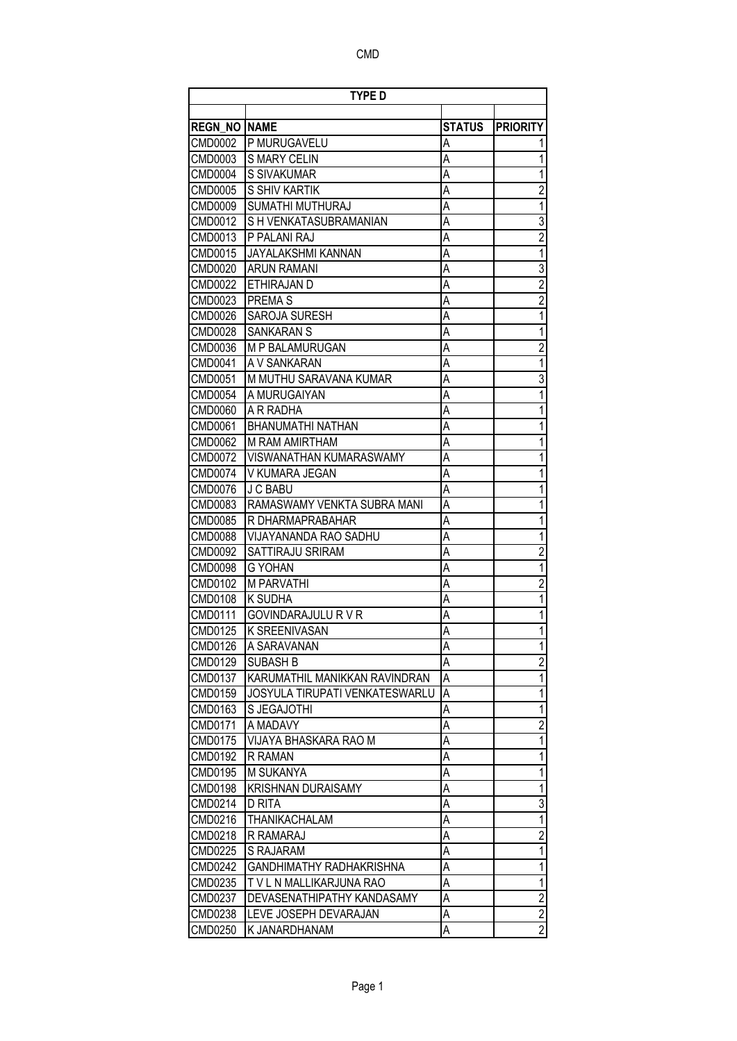|                | <b>TYPE D</b>                   |               |                         |
|----------------|---------------------------------|---------------|-------------------------|
|                |                                 |               |                         |
| <b>REGN NO</b> | <b>NAME</b>                     | <b>STATUS</b> | <b>PRIORITY</b>         |
| CMD0002        | P MURUGAVELU                    | Α             |                         |
| <b>CMD0003</b> | <b>S MARY CELIN</b>             | A             |                         |
| <b>CMD0004</b> | S SIVAKUMAR                     | A             | 1                       |
| <b>CMD0005</b> | S SHIV KARTIK                   | A             | $\overline{2}$          |
| <b>CMD0009</b> | SUMATHI MUTHURAJ                | Α             | 1                       |
| <b>CMD0012</b> | S H VENKATASUBRAMANIAN          | A             | $\overline{3}$          |
| CMD0013        | P PALANI RAJ                    | A             | $\overline{2}$          |
| <b>CMD0015</b> | <b>JAYALAKSHMI KANNAN</b>       | Α             | $\overline{1}$          |
| <b>CMD0020</b> | <b>ARUN RAMANI</b>              | A             | $\overline{3}$          |
| <b>CMD0022</b> | ETHIRAJAN D                     | A             | $\overline{2}$          |
| CMD0023        | <b>PREMAS</b>                   | Α             | $\overline{2}$          |
| <b>CMD0026</b> | SAROJA SURESH                   | Α             | $\overline{1}$          |
| <b>CMD0028</b> | <b>SANKARAN S</b>               | Α             | 1                       |
| CMD0036        | M P BALAMURUGAN                 | Α             | $\overline{\mathbf{c}}$ |
| <b>CMD0041</b> | A V SANKARAN                    | Α             | 1                       |
| <b>CMD0051</b> | M MUTHU SARAVANA KUMAR          | Α             | 3                       |
| <b>CMD0054</b> | A MURUGAIYAN                    | Α             | 1                       |
| <b>CMD0060</b> | A R RADHA                       | A             | 1                       |
| <b>CMD0061</b> | BHANUMATHI NATHAN               | A             | 1                       |
| <b>CMD0062</b> | M RAM AMIRTHAM                  | A             | 1                       |
| CMD0072        | <b>VISWANATHAN KUMARASWAMY</b>  | Α             | 1                       |
| <b>CMD0074</b> | V KUMARA JEGAN                  | A             | 1                       |
| <b>CMD0076</b> | J C BABU                        | A             | 1                       |
| CMD0083        | RAMASWAMY VENKTA SUBRA MANI     | A             | 1                       |
| <b>CMD0085</b> | R DHARMAPRABAHAR                | Α             | 1                       |
| <b>CMD0088</b> | VIJAYANANDA RAO SADHU           | A             | 1                       |
| CMD0092        | SATTIRAJU SRIRAM                | A             | $\overline{2}$          |
| <b>CMD0098</b> | G YOHAN                         | A             | $\overline{1}$          |
| CMD0102        | M PARVATHI                      | A             | $\overline{2}$          |
| CMD0108        | K SUDHA                         | Α             | 1                       |
| <b>CMD0111</b> | <b>GOVINDARAJULU R V R</b>      | A             | 1                       |
| CMD0125        | K SREENIVASAN                   | Α             | 1                       |
| <b>CMD0126</b> | A SARAVANAN                     | Α             | 1                       |
| <b>CMD0129</b> | <b>SUBASH B</b>                 | A             | $\overline{2}$          |
| <b>CMD0137</b> | KARUMATHIL MANIKKAN RAVINDRAN   | A             | 1                       |
| CMD0159        | JOSYULA TIRUPATI VENKATESWARLU  | A             | 1                       |
| <b>CMD0163</b> | S JEGAJOTHI                     | A             | 1                       |
| <b>CMD0171</b> | A MADAVY                        | А             | $\overline{2}$          |
| <b>CMD0175</b> | VIJAYA BHASKARA RAO M           | А             | $\overline{1}$          |
| <b>CMD0192</b> | <b>R RAMAN</b>                  | А             | 1                       |
| <b>CMD0195</b> | M SUKANYA                       | Α             | $\overline{1}$          |
| <b>CMD0198</b> | <b>KRISHNAN DURAISAMY</b>       | А             | 1                       |
| <b>CMD0214</b> | D RITA                          | А             | $\overline{3}$          |
| CMD0216        | THANIKACHALAM                   | А             | $\overline{1}$          |
| CMD0218        | R RAMARAJ                       | Α             | $\overline{2}$          |
| <b>CMD0225</b> | S RAJARAM                       | А             | 1                       |
| <b>CMD0242</b> | <b>GANDHIMATHY RADHAKRISHNA</b> | Α             | 1                       |
| CMD0235        | T V L N MALLIKARJUNA RAO        | Α             | 1                       |
| <b>CMD0237</b> | DEVASENATHIPATHY KANDASAMY      | Α             | $\overline{2}$          |
| <b>CMD0238</b> | LEVE JOSEPH DEVARAJAN           | А             | $\overline{2}$          |
| <b>CMD0250</b> | K JANARDHANAM                   | Α             | $\overline{2}$          |
|                |                                 |               |                         |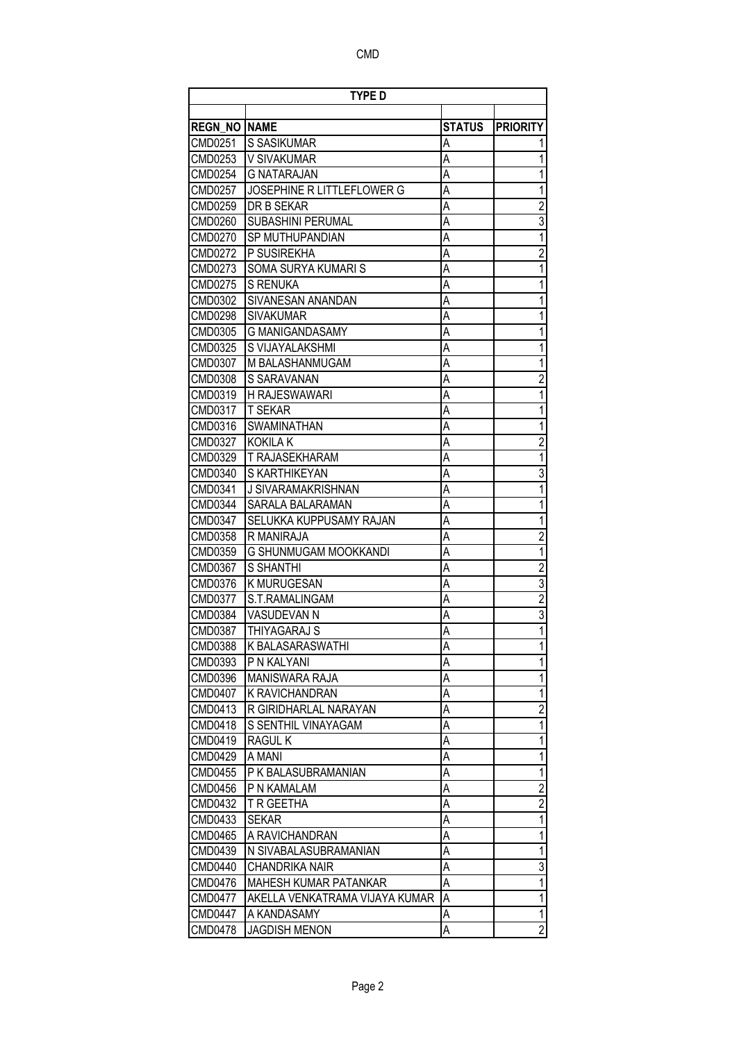| <b>REGN NO</b><br><b>NAME</b><br><b>STATUS</b><br><b>PRIORITY</b><br><b>CMD0251</b><br>S SASIKUMAR<br>А<br>A<br>CMD0253<br>V SIVAKUMAR<br>A<br><b>CMD0254</b><br><b>G NATARAJAN</b><br>A<br><b>JOSEPHINE R LITTLEFLOWER G</b><br>CMD0257<br>CMD0259<br>DR B SEKAR<br>Α<br>A<br>SUBASHINI PERUMAL<br><b>CMD0260</b><br>SP MUTHUPANDIAN<br>A<br><b>CMD0270</b><br>A<br>P SUSIREKHA<br>CMD0272<br>SOMA SURYA KUMARI S<br>Α<br>CMD0273<br><b>CMD0275</b><br><b>S RENUKA</b><br>A<br>CMD0302<br>SIVANESAN ANANDAN<br>Α<br><b>CMD0298</b><br><b>SIVAKUMAR</b><br>A<br>CMD0305<br>Α<br>G MANIGANDASAMY<br>A<br>CMD0325<br>S VIJAYALAKSHMI<br>A<br>CMD0307<br>M BALASHANMUGAM<br>A<br>CMD0308<br>S SARAVANAN<br>CMD0319<br><b>H RAJESWAWARI</b><br>Α<br>A<br>CMD0317<br><b>T SEKAR</b><br>A<br>CMD0316<br>SWAMINATHAN<br>A<br>CMD0327<br><b>KOKILA K</b><br>A<br>CMD0329<br>T RAJASEKHARAM<br>A<br>CMD0340<br>S KARTHIKEYAN<br>A<br>CMD0341<br>J SIVARAMAKRISHNAN<br>A<br><b>CMD0344</b><br>SARALA BALARAMAN<br>A<br><b>CMD0347</b><br>SELUKKA KUPPUSAMY RAJAN<br>CMD0358<br>R MANIRAJA<br>Α<br>A<br>CMD0359<br>G SHUNMUGAM MOOKKANDI |                         |
|-------------------------------------------------------------------------------------------------------------------------------------------------------------------------------------------------------------------------------------------------------------------------------------------------------------------------------------------------------------------------------------------------------------------------------------------------------------------------------------------------------------------------------------------------------------------------------------------------------------------------------------------------------------------------------------------------------------------------------------------------------------------------------------------------------------------------------------------------------------------------------------------------------------------------------------------------------------------------------------------------------------------------------------------------------------------------------------------------------------------------------|-------------------------|
|                                                                                                                                                                                                                                                                                                                                                                                                                                                                                                                                                                                                                                                                                                                                                                                                                                                                                                                                                                                                                                                                                                                               |                         |
|                                                                                                                                                                                                                                                                                                                                                                                                                                                                                                                                                                                                                                                                                                                                                                                                                                                                                                                                                                                                                                                                                                                               |                         |
|                                                                                                                                                                                                                                                                                                                                                                                                                                                                                                                                                                                                                                                                                                                                                                                                                                                                                                                                                                                                                                                                                                                               |                         |
|                                                                                                                                                                                                                                                                                                                                                                                                                                                                                                                                                                                                                                                                                                                                                                                                                                                                                                                                                                                                                                                                                                                               |                         |
|                                                                                                                                                                                                                                                                                                                                                                                                                                                                                                                                                                                                                                                                                                                                                                                                                                                                                                                                                                                                                                                                                                                               | 1                       |
|                                                                                                                                                                                                                                                                                                                                                                                                                                                                                                                                                                                                                                                                                                                                                                                                                                                                                                                                                                                                                                                                                                                               | 1                       |
|                                                                                                                                                                                                                                                                                                                                                                                                                                                                                                                                                                                                                                                                                                                                                                                                                                                                                                                                                                                                                                                                                                                               | $\overline{c}$          |
|                                                                                                                                                                                                                                                                                                                                                                                                                                                                                                                                                                                                                                                                                                                                                                                                                                                                                                                                                                                                                                                                                                                               | $\overline{3}$          |
|                                                                                                                                                                                                                                                                                                                                                                                                                                                                                                                                                                                                                                                                                                                                                                                                                                                                                                                                                                                                                                                                                                                               | 1                       |
|                                                                                                                                                                                                                                                                                                                                                                                                                                                                                                                                                                                                                                                                                                                                                                                                                                                                                                                                                                                                                                                                                                                               | $\overline{c}$          |
|                                                                                                                                                                                                                                                                                                                                                                                                                                                                                                                                                                                                                                                                                                                                                                                                                                                                                                                                                                                                                                                                                                                               | 1                       |
|                                                                                                                                                                                                                                                                                                                                                                                                                                                                                                                                                                                                                                                                                                                                                                                                                                                                                                                                                                                                                                                                                                                               | 1                       |
|                                                                                                                                                                                                                                                                                                                                                                                                                                                                                                                                                                                                                                                                                                                                                                                                                                                                                                                                                                                                                                                                                                                               | 1                       |
|                                                                                                                                                                                                                                                                                                                                                                                                                                                                                                                                                                                                                                                                                                                                                                                                                                                                                                                                                                                                                                                                                                                               | 1                       |
|                                                                                                                                                                                                                                                                                                                                                                                                                                                                                                                                                                                                                                                                                                                                                                                                                                                                                                                                                                                                                                                                                                                               | 1                       |
|                                                                                                                                                                                                                                                                                                                                                                                                                                                                                                                                                                                                                                                                                                                                                                                                                                                                                                                                                                                                                                                                                                                               | 1                       |
|                                                                                                                                                                                                                                                                                                                                                                                                                                                                                                                                                                                                                                                                                                                                                                                                                                                                                                                                                                                                                                                                                                                               | 1                       |
|                                                                                                                                                                                                                                                                                                                                                                                                                                                                                                                                                                                                                                                                                                                                                                                                                                                                                                                                                                                                                                                                                                                               | $\overline{2}$          |
|                                                                                                                                                                                                                                                                                                                                                                                                                                                                                                                                                                                                                                                                                                                                                                                                                                                                                                                                                                                                                                                                                                                               | 1                       |
|                                                                                                                                                                                                                                                                                                                                                                                                                                                                                                                                                                                                                                                                                                                                                                                                                                                                                                                                                                                                                                                                                                                               |                         |
|                                                                                                                                                                                                                                                                                                                                                                                                                                                                                                                                                                                                                                                                                                                                                                                                                                                                                                                                                                                                                                                                                                                               | 1                       |
|                                                                                                                                                                                                                                                                                                                                                                                                                                                                                                                                                                                                                                                                                                                                                                                                                                                                                                                                                                                                                                                                                                                               | $\overline{2}$          |
|                                                                                                                                                                                                                                                                                                                                                                                                                                                                                                                                                                                                                                                                                                                                                                                                                                                                                                                                                                                                                                                                                                                               | 1                       |
|                                                                                                                                                                                                                                                                                                                                                                                                                                                                                                                                                                                                                                                                                                                                                                                                                                                                                                                                                                                                                                                                                                                               | 3                       |
|                                                                                                                                                                                                                                                                                                                                                                                                                                                                                                                                                                                                                                                                                                                                                                                                                                                                                                                                                                                                                                                                                                                               | 1                       |
|                                                                                                                                                                                                                                                                                                                                                                                                                                                                                                                                                                                                                                                                                                                                                                                                                                                                                                                                                                                                                                                                                                                               | 1                       |
|                                                                                                                                                                                                                                                                                                                                                                                                                                                                                                                                                                                                                                                                                                                                                                                                                                                                                                                                                                                                                                                                                                                               | 1                       |
|                                                                                                                                                                                                                                                                                                                                                                                                                                                                                                                                                                                                                                                                                                                                                                                                                                                                                                                                                                                                                                                                                                                               | $\overline{c}$          |
|                                                                                                                                                                                                                                                                                                                                                                                                                                                                                                                                                                                                                                                                                                                                                                                                                                                                                                                                                                                                                                                                                                                               | 1                       |
| A<br><b>CMD0367</b><br><b>S SHANTHI</b>                                                                                                                                                                                                                                                                                                                                                                                                                                                                                                                                                                                                                                                                                                                                                                                                                                                                                                                                                                                                                                                                                       | $\overline{2}$          |
| Α<br>CMD0376<br>K MURUGESAN                                                                                                                                                                                                                                                                                                                                                                                                                                                                                                                                                                                                                                                                                                                                                                                                                                                                                                                                                                                                                                                                                                   | $\overline{3}$          |
| <b>CMD0377</b><br>Α<br>S.T.RAMALINGAM                                                                                                                                                                                                                                                                                                                                                                                                                                                                                                                                                                                                                                                                                                                                                                                                                                                                                                                                                                                                                                                                                         | $\overline{2}$          |
| A<br>CMD0384<br>VASUDEVAN N                                                                                                                                                                                                                                                                                                                                                                                                                                                                                                                                                                                                                                                                                                                                                                                                                                                                                                                                                                                                                                                                                                   | 3                       |
| A<br>CMD0387<br><b>THIYAGARAJ S</b>                                                                                                                                                                                                                                                                                                                                                                                                                                                                                                                                                                                                                                                                                                                                                                                                                                                                                                                                                                                                                                                                                           | 1                       |
| Α<br><b>CMD0388</b><br>K BALASARASWATHI                                                                                                                                                                                                                                                                                                                                                                                                                                                                                                                                                                                                                                                                                                                                                                                                                                                                                                                                                                                                                                                                                       | 1                       |
| Α<br>CMD0393<br>P N KALYANI                                                                                                                                                                                                                                                                                                                                                                                                                                                                                                                                                                                                                                                                                                                                                                                                                                                                                                                                                                                                                                                                                                   | 1                       |
| A<br><b>CMD0396</b><br><b>MANISWARA RAJA</b>                                                                                                                                                                                                                                                                                                                                                                                                                                                                                                                                                                                                                                                                                                                                                                                                                                                                                                                                                                                                                                                                                  | 1                       |
| <b>CMD0407</b><br>А<br>K RAVICHANDRAN                                                                                                                                                                                                                                                                                                                                                                                                                                                                                                                                                                                                                                                                                                                                                                                                                                                                                                                                                                                                                                                                                         | 1                       |
| CMD0413<br>A<br>R GIRIDHARLAL NARAYAN                                                                                                                                                                                                                                                                                                                                                                                                                                                                                                                                                                                                                                                                                                                                                                                                                                                                                                                                                                                                                                                                                         | $\overline{\mathbf{c}}$ |
| <b>CMD0418</b><br>S SENTHIL VINAYAGAM<br>Α                                                                                                                                                                                                                                                                                                                                                                                                                                                                                                                                                                                                                                                                                                                                                                                                                                                                                                                                                                                                                                                                                    | 1                       |
| CMD0419<br>A<br><b>RAGUL K</b>                                                                                                                                                                                                                                                                                                                                                                                                                                                                                                                                                                                                                                                                                                                                                                                                                                                                                                                                                                                                                                                                                                | 1                       |
| Α<br>CMD0429<br>A MANI                                                                                                                                                                                                                                                                                                                                                                                                                                                                                                                                                                                                                                                                                                                                                                                                                                                                                                                                                                                                                                                                                                        | 1                       |
| <b>CMD0455</b><br>P K BALASUBRAMANIAN<br>Α                                                                                                                                                                                                                                                                                                                                                                                                                                                                                                                                                                                                                                                                                                                                                                                                                                                                                                                                                                                                                                                                                    | $\mathbf{1}$            |
| P N KAMALAM<br>Α<br><b>CMD0456</b>                                                                                                                                                                                                                                                                                                                                                                                                                                                                                                                                                                                                                                                                                                                                                                                                                                                                                                                                                                                                                                                                                            | $\overline{2}$          |
| A<br><b>CMD0432</b><br>T R GEETHA                                                                                                                                                                                                                                                                                                                                                                                                                                                                                                                                                                                                                                                                                                                                                                                                                                                                                                                                                                                                                                                                                             | $\overline{2}$          |
| A<br>CMD0433<br><b>SEKAR</b>                                                                                                                                                                                                                                                                                                                                                                                                                                                                                                                                                                                                                                                                                                                                                                                                                                                                                                                                                                                                                                                                                                  | 1                       |
| А<br><b>CMD0465</b><br>A RAVICHANDRAN                                                                                                                                                                                                                                                                                                                                                                                                                                                                                                                                                                                                                                                                                                                                                                                                                                                                                                                                                                                                                                                                                         | 1                       |
| A<br>CMD0439<br>N SIVABALASUBRAMANIAN                                                                                                                                                                                                                                                                                                                                                                                                                                                                                                                                                                                                                                                                                                                                                                                                                                                                                                                                                                                                                                                                                         | 1                       |
| Α<br><b>CMD0440</b><br><b>CHANDRIKA NAIR</b>                                                                                                                                                                                                                                                                                                                                                                                                                                                                                                                                                                                                                                                                                                                                                                                                                                                                                                                                                                                                                                                                                  | 3                       |
| Α<br><b>CMD0476</b><br>MAHESH KUMAR PATANKAR                                                                                                                                                                                                                                                                                                                                                                                                                                                                                                                                                                                                                                                                                                                                                                                                                                                                                                                                                                                                                                                                                  | 1                       |
| <b>CMD0477</b><br>A<br>AKELLA VENKATRAMA VIJAYA KUMAR                                                                                                                                                                                                                                                                                                                                                                                                                                                                                                                                                                                                                                                                                                                                                                                                                                                                                                                                                                                                                                                                         | 1                       |
| <b>CMD0447</b><br>A KANDASAMY<br>А                                                                                                                                                                                                                                                                                                                                                                                                                                                                                                                                                                                                                                                                                                                                                                                                                                                                                                                                                                                                                                                                                            | 1                       |
| <b>CMD0478</b><br>Α<br><b>JAGDISH MENON</b>                                                                                                                                                                                                                                                                                                                                                                                                                                                                                                                                                                                                                                                                                                                                                                                                                                                                                                                                                                                                                                                                                   |                         |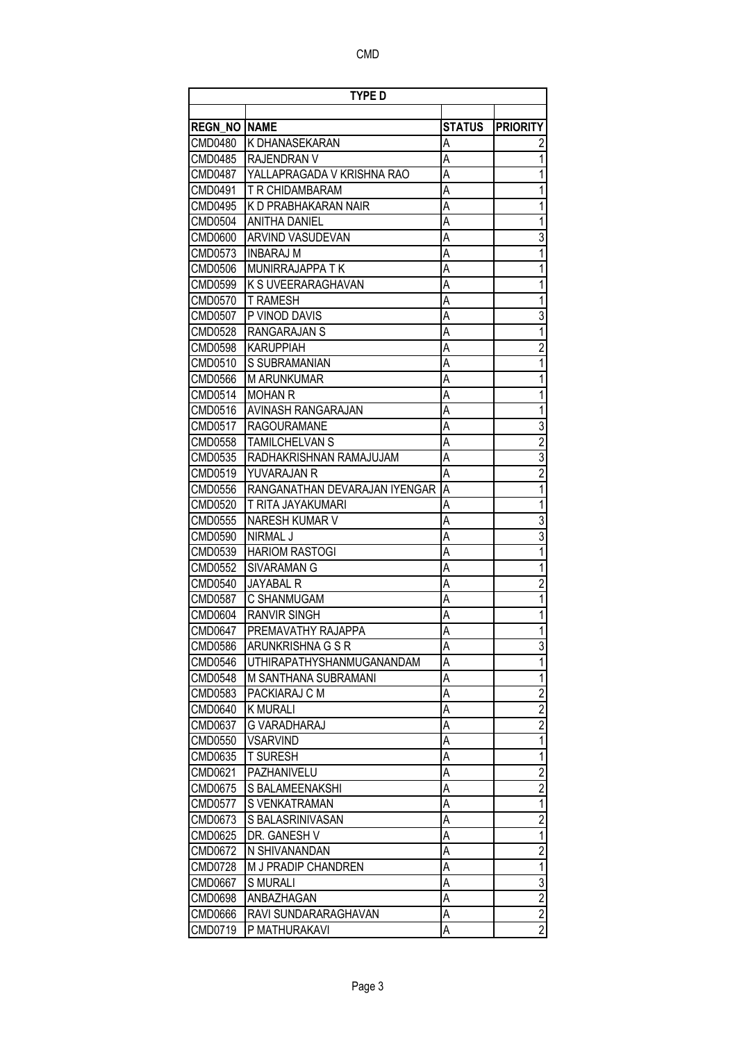|                     | <b>TYPE D</b>                    |               |                 |
|---------------------|----------------------------------|---------------|-----------------|
|                     |                                  |               |                 |
| <b>REGN NO NAME</b> |                                  | <b>STATUS</b> | <b>PRIORITY</b> |
| CMD0480             | K DHANASEKARAN                   | Α             | 2               |
| CMD0485             | IRAJENDRAN V                     | Α             | 1               |
| <b>CMD0487</b>      | YALLAPRAGADA V KRISHNA RAO       | A             | 1               |
| CMD0491             | T R CHIDAMBARAM                  | A             | 1               |
| CMD0495             | K D PRABHAKARAN NAIR             | A             | 1               |
| CMD0504             | <b>ANITHA DANIEL</b>             | Α             | 1               |
| CMD0600             | ARVIND VASUDEVAN                 | A             | 3               |
| CMD0573             | <b>INBARAJ M</b>                 | A             | 1               |
| <b>CMD0506</b>      | MUNIRRAJAPPA TK                  | A             | 1               |
| CMD0599             | K S UVEERARAGHAVAN               | Α             | 1               |
| <b>CMD0570</b>      | <b>T RAMESH</b>                  | A             | 1               |
| CMD0507             | P VINOD DAVIS                    | A             | $\overline{3}$  |
| CMD0528             | RANGARAJAN S                     | A             | $\overline{1}$  |
| CMD0598             | <b>KARUPPIAH</b>                 | A             | $\overline{2}$  |
| CMD0510             | <b>S SUBRAMANIAN</b>             | Α             | 1               |
| CMD0566             | <b>M ARUNKUMAR</b>               | A             | 1               |
| CMD0514             | <b>MOHAN R</b>                   | Α             | 1               |
| CMD0516             | <b>AVINASH RANGARAJAN</b>        | A             | 1               |
| CMD0517             | <b>RAGOURAMANE</b>               | A             | $\overline{3}$  |
| CMD0558             | TAMILCHELVAN S                   | A             | $\overline{2}$  |
| CMD0535             | RADHAKRISHNAN RAMAJUJAM          | A             | $\overline{3}$  |
| CMD0519             | YUVARAJAN R                      | A             | $\overline{2}$  |
| <b>CMD0556</b>      | RANGANATHAN DEVARAJAN IYENGAR    | Α             | 1               |
| <b>CMD0520</b>      | <b>T RITA JAYAKUMARI</b>         | Α             | $\overline{1}$  |
| CMD0555             | NARESH KUMAR V                   | Α             | $\overline{3}$  |
| CMD0590             | <b>NIRMAL J</b>                  | A             | $\overline{3}$  |
| CMD0539             | <b>HARIOM RASTOGI</b>            | Α             | 1               |
| <b>CMD0552</b>      | SIVARAMAN G                      | A             | 1               |
| CMD0540             | JAYABAL R                        | A             | $\overline{2}$  |
| CMD0587             | C SHANMUGAM                      | Α             | $\overline{1}$  |
| CMD0604             | <b>RANVIR SINGH</b>              | А             | 1               |
| CMD0647             | PREMAVATHY RAJAPPA               | Α             | 1               |
| <b>CMD0586</b>      | ARUNKRISHNA G S R                | Α             | $\overline{3}$  |
| <b>CMD0546</b>      | <b>UTHIRAPATHYSHANMUGANANDAM</b> | A             | 1               |
| <b>CMD0548</b>      | M SANTHANA SUBRAMANI             | Α             | 1               |
| CMD0583             | PACKIARAJ C M                    | A             | $\overline{2}$  |
| <b>CMD0640</b>      | <b>K MURALI</b>                  | Α             | $\overline{2}$  |
| CMD0637             | G VARADHARAJ                     | А             | $\overline{2}$  |
| <b>CMD0550</b>      | VSARVIND                         | Α             | 1               |
| CMD0635             | <b>T SURESH</b>                  | Α             | 1               |
| CMD0621             | PAZHANIVELU                      | А             | $\overline{2}$  |
| CMD0675             | S BALAMEENAKSHI                  | Α             | $\overline{2}$  |
| <b>CMD0577</b>      | S VENKATRAMAN                    | A             | $\overline{1}$  |
| CMD0673             | S BALASRINIVASAN                 | Α             | $\overline{2}$  |
| CMD0625             | DR. GANESH V                     | Α             | $\overline{1}$  |
| CMD0672             | N SHIVANANDAN                    | А             | $\overline{2}$  |
| <b>CMD0728</b>      | M J PRADIP CHANDREN              | A             | $\overline{1}$  |
| <b>CMD0667</b>      | <b>S MURALI</b>                  | Α             |                 |
| <b>CMD0698</b>      | ANBAZHAGAN                       | Α             | $rac{3}{2}$     |
| <b>CMD0666</b>      | RAVI SUNDARARAGHAVAN             | Α             | $\overline{2}$  |
| CMD0719             | P MATHURAKAVI                    | Α             | $\overline{2}$  |
|                     |                                  |               |                 |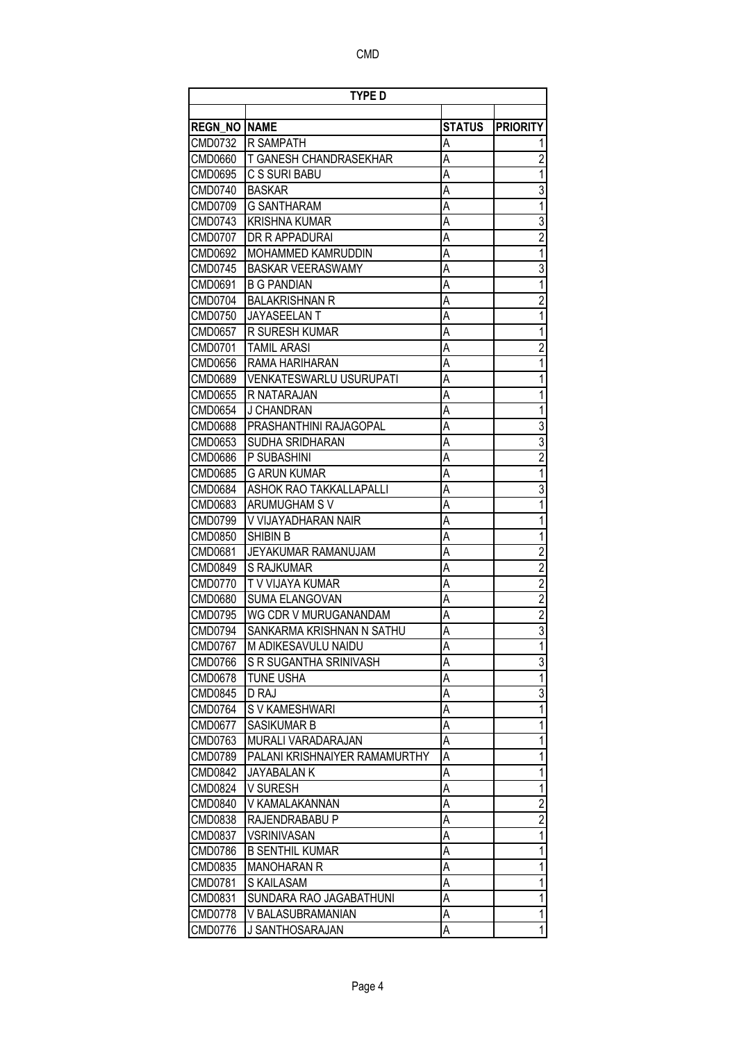|                | TYPE D                        |               |                         |
|----------------|-------------------------------|---------------|-------------------------|
| <b>REGN NO</b> | <b>NAME</b>                   | <b>STATUS</b> | <b>PRIORITY</b>         |
| CMD0732        | R SAMPATH                     | Α             |                         |
| CMD0660        | T GANESH CHANDRASEKHAR        | Α             | $\overline{2}$          |
| CMD0695        | C S SURI BABU                 | A             | 1                       |
| CMD0740        | <b>BASKAR</b>                 | A             | $\overline{3}$          |
| CMD0709        | <b>G SANTHARAM</b>            | A             | $\overline{1}$          |
| CMD0743        | <b>KRISHNA KUMAR</b>          | A             | $\overline{3}$          |
| <b>CMD0707</b> | DR R APPADURAI                | A             | $\overline{2}$          |
| CMD0692        | MOHAMMED KAMRUDDIN            | A             | $\overline{1}$          |
| CMD0745        | <b>BASKAR VEERASWAMY</b>      | A             | $\overline{3}$          |
| CMD0691        | <b>B G PANDIAN</b>            | Α             | $\overline{1}$          |
| <b>CMD0704</b> | <b>BALAKRISHNAN R</b>         | A             | $\overline{2}$          |
| CMD0750        | JAYASEELAN T                  | Α             | $\overline{1}$          |
| CMD0657        | R SURESH KUMAR                | A             | 1                       |
| <b>CMD0701</b> | <b>TAMIL ARASI</b>            | Α             | $\overline{c}$          |
| <b>CMD0656</b> | RAMA HARIHARAN                | A             | 1                       |
| CMD0689        | VENKATESWARLU USURUPATI       | Α             | 1                       |
|                |                               |               | 1                       |
| CMD0655        | R NATARAJAN                   | A             |                         |
| <b>CMD0654</b> | J CHANDRAN                    | Α             | 1                       |
| <b>CMD0688</b> | PRASHANTHINI RAJAGOPAL        | A             | $\overline{3}$          |
| CMD0653        | SUDHA SRIDHARAN               | A             | $\overline{3}$          |
| CMD0686        | P SUBASHINI                   | A             | $\overline{2}$          |
| <b>CMD0685</b> | <b>G ARUN KUMAR</b>           | Α             | $\overline{1}$          |
| CMD0684        | ASHOK RAO TAKKALLAPALLI       | A             | $\overline{3}$          |
| CMD0683        | ARUMUGHAM S V                 | A             | $\overline{1}$          |
| CMD0799        | V VIJAYADHARAN NAIR           | A             | 1                       |
| <b>CMD0850</b> | <b>SHIBIN B</b>               | Α             | 1                       |
| <b>CMD0681</b> | JEYAKUMAR RAMANUJAM           | A             | $\overline{2}$          |
| CMD0849        | S RAJKUMAR                    | A             | $\overline{2}$          |
| CMD0770        | T V VIJAYA KUMAR              | A             | $\overline{2}$          |
| CMD0680        | <b>SUMA ELANGOVAN</b>         | A             | $\overline{\mathbf{c}}$ |
| <b>CMD0795</b> | WG CDR V MURUGANANDAM         | Α             | $\overline{2}$          |
| CMD0794        | SANKARMA KRISHNAN N SATHU     | A             | $\overline{3}$          |
| CMD0767        | M ADIKESAVULU NAIDU           | Α             | 11                      |
| CMD0766        | S R SUGANTHA SRINIVASH        | A             | $\overline{3}$          |
| <b>CMD0678</b> | <b>TUNE USHA</b>              | Α             | $\overline{1}$          |
| <b>CMD0845</b> | D RAJ                         | А             | $\overline{3}$          |
| CMD0764        | S V KAMESHWARI                | Α             | $\overline{1}$          |
| <b>CMD0677</b> | SASIKUMAR B                   | Α             | 1                       |
| CMD0763        | MURALI VARADARAJAN            | А             | 1                       |
| <b>CMD0789</b> | PALANI KRISHNAIYER RAMAMURTHY | А             | 1                       |
| <b>CMD0842</b> | JAYABALAN K                   | Α             | 1                       |
| <b>CMD0824</b> | V SURESH                      | Α             | 1                       |
| CMD0840        | V KAMALAKANNAN                | А             | $\overline{2}$          |
| CMD0838        | RAJENDRABABU P                | А             | $\overline{2}$          |
| CMD0837        | <b>VSRINIVASAN</b>            | А             | $\overline{1}$          |
| CMD0786        | <b>B SENTHIL KUMAR</b>        | А             | 1                       |
| CMD0835        | <b>MANOHARAN R</b>            | А             | 1                       |
| CMD0781        | S KAILASAM                    | Α             | 1                       |
| CMD0831        | SUNDARA RAO JAGABATHUNI       | Α             | 1                       |
| <b>CMD0778</b> | V BALASUBRAMANIAN             | Α             | 1                       |
| <b>CMD0776</b> | J SANTHOSARAJAN               | А             | 1                       |